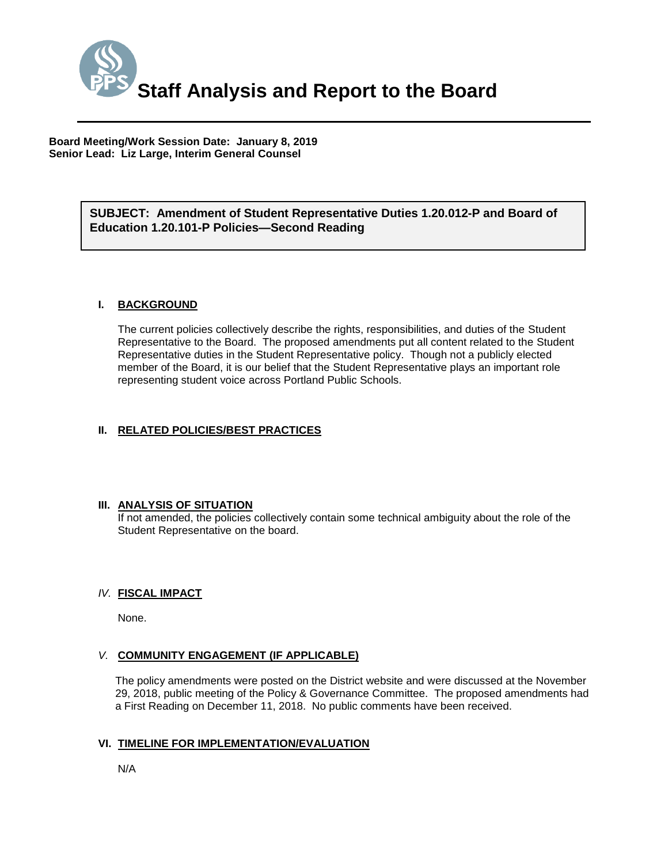

**Board Meeting/Work Session Date: January 8, 2019 Senior Lead: Liz Large, Interim General Counsel**

## *(Use this section to briefly explain the item—2-3 sentences)* **SUBJECT: Amendment of Student Representative Duties 1.20.012-P and Board of Education 1.20.101-P Policies—Second Reading**

## **I. BACKGROUND**

The current policies collectively describe the rights, responsibilities, and duties of the Student Representative to the Board. The proposed amendments put all content related to the Student Representative duties in the Student Representative policy. Though not a publicly elected member of the Board, it is our belief that the Student Representative plays an important role representing student voice across Portland Public Schools.

## **II. RELATED POLICIES/BEST PRACTICES**

#### **III. ANALYSIS OF SITUATION**

If not amended, the policies collectively contain some technical ambiguity about the role of the Student Representative on the board.

### *IV.* **FISCAL IMPACT**

None.

#### *V.* **COMMUNITY ENGAGEMENT (IF APPLICABLE)**

The policy amendments were posted on the District website and were discussed at the November 29, 2018, public meeting of the Policy & Governance Committee. The proposed amendments had a First Reading on December 11, 2018. No public comments have been received.

## **VI. TIMELINE FOR IMPLEMENTATION/EVALUATION**

N/A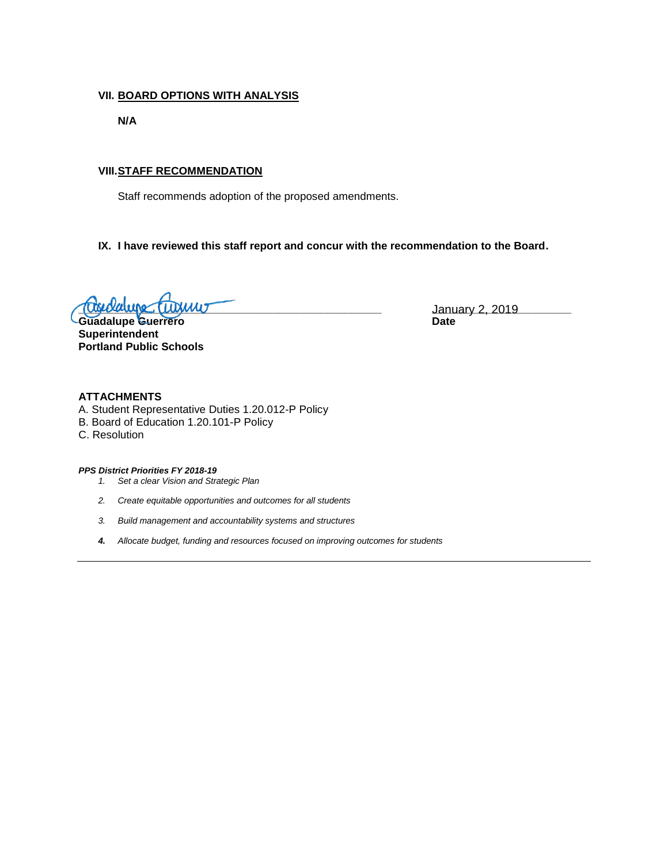## **VII. BOARD OPTIONS WITH ANALYSIS**

**N/A**

## **VIII.STAFF RECOMMENDATION**

Staff recommends adoption of the proposed amendments.

## **IX. I have reviewed this staff report and concur with the recommendation to the Board.**

**<u>Lugiolaugo (Luginio – Lanuary 2, 2019</u> – Lanuary 2, 2019** 

**Guadalupe Guerrero Date Superintendent Portland Public Schools**

#### **ATTACHMENTS**

- A. Student Representative Duties 1.20.012-P Policy
- B. Board of Education 1.20.101-P Policy
- C. Resolution

*PPS District Priorities FY 2018-19*

- *1. Set a clear Vision and Strategic Plan*
- *2. Create equitable opportunities and outcomes for all students*
- *3. Build management and accountability systems and structures*
- *4. Allocate budget, funding and resources focused on improving outcomes for students*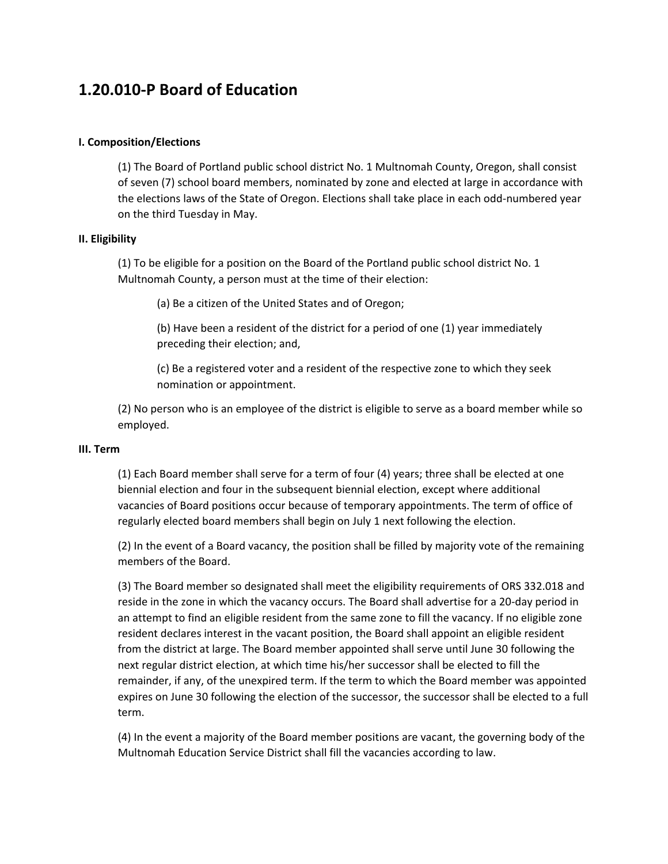# **1.20.010‐P Board of Education**

## **I. Composition/Elections**

(1) The Board of Portland public school district No. 1 Multnomah County, Oregon, shall consist of seven (7) school board members, nominated by zone and elected at large in accordance with the elections laws of the State of Oregon. Elections shall take place in each odd‐numbered year on the third Tuesday in May.

## **II. Eligibility**

(1) To be eligible for a position on the Board of the Portland public school district No. 1 Multnomah County, a person must at the time of their election:

(a) Be a citizen of the United States and of Oregon;

(b) Have been a resident of the district for a period of one (1) year immediately preceding their election; and,

(c) Be a registered voter and a resident of the respective zone to which they seek nomination or appointment.

(2) No person who is an employee of the district is eligible to serve as a board member while so employed.

## **III. Term**

(1) Each Board member shall serve for a term of four (4) years; three shall be elected at one biennial election and four in the subsequent biennial election, except where additional vacancies of Board positions occur because of temporary appointments. The term of office of regularly elected board members shall begin on July 1 next following the election.

(2) In the event of a Board vacancy, the position shall be filled by majority vote of the remaining members of the Board.

(3) The Board member so designated shall meet the eligibility requirements of ORS 332.018 and reside in the zone in which the vacancy occurs. The Board shall advertise for a 20‐day period in an attempt to find an eligible resident from the same zone to fill the vacancy. If no eligible zone resident declares interest in the vacant position, the Board shall appoint an eligible resident from the district at large. The Board member appointed shall serve until June 30 following the next regular district election, at which time his/her successor shall be elected to fill the remainder, if any, of the unexpired term. If the term to which the Board member was appointed expires on June 30 following the election of the successor, the successor shall be elected to a full term.

(4) In the event a majority of the Board member positions are vacant, the governing body of the Multnomah Education Service District shall fill the vacancies according to law.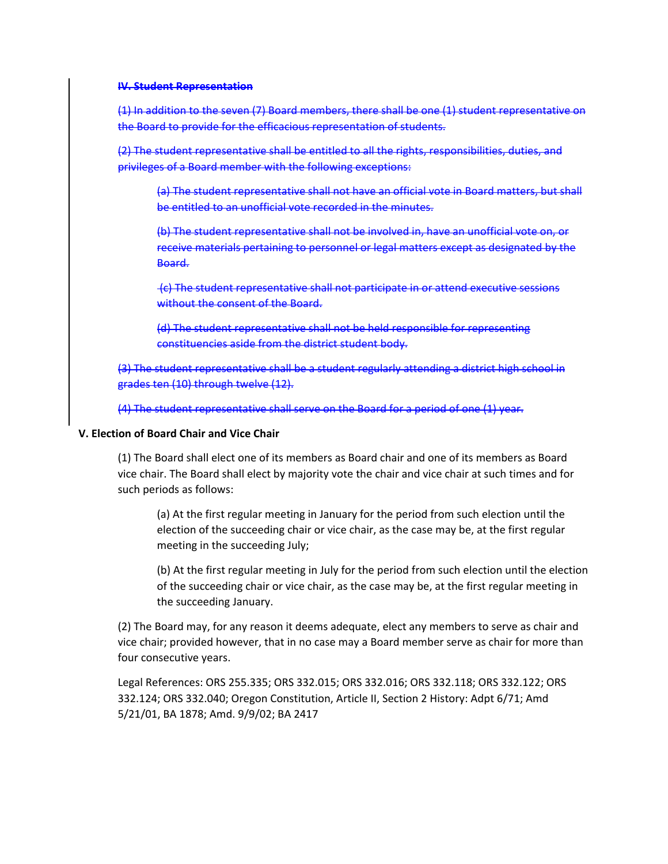#### **IV. Student Representation**

(1) In addition to the seven (7) Board members, there shall be one (1) student representative on the Board to provide for the efficacious representation of students.

(2) The student representative shall be entitled to all the rights, responsibilities, duties, and privileges of a Board member with the following exceptions:

(a) The student representative shall not have an official vote in Board matters, but shall be entitled to an unofficial vote recorded in the minutes.

(b) The student representative shall not be involved in, have an unofficial vote on, or receive materials pertaining to personnel or legal matters except as designated by the Board.

(c) The student representative shall not participate in or attend executive sessions without the consent of the Board.

(d) The student representative shall not be held responsible for representing constituencies aside from the district student body.

(3) The student representative shall be a student regularly attending a district high school in grades ten (10) through twelve (12).

(4) The student representative shall serve on the Board for a period of one (1) year.

### **V. Election of Board Chair and Vice Chair**

(1) The Board shall elect one of its members as Board chair and one of its members as Board vice chair. The Board shall elect by majority vote the chair and vice chair at such times and for such periods as follows:

(a) At the first regular meeting in January for the period from such election until the election of the succeeding chair or vice chair, as the case may be, at the first regular meeting in the succeeding July;

(b) At the first regular meeting in July for the period from such election until the election of the succeeding chair or vice chair, as the case may be, at the first regular meeting in the succeeding January.

(2) The Board may, for any reason it deems adequate, elect any members to serve as chair and vice chair; provided however, that in no case may a Board member serve as chair for more than four consecutive years.

Legal References: ORS 255.335; ORS 332.015; ORS 332.016; ORS 332.118; ORS 332.122; ORS 332.124; ORS 332.040; Oregon Constitution, Article II, Section 2 History: Adpt 6/71; Amd 5/21/01, BA 1878; Amd. 9/9/02; BA 2417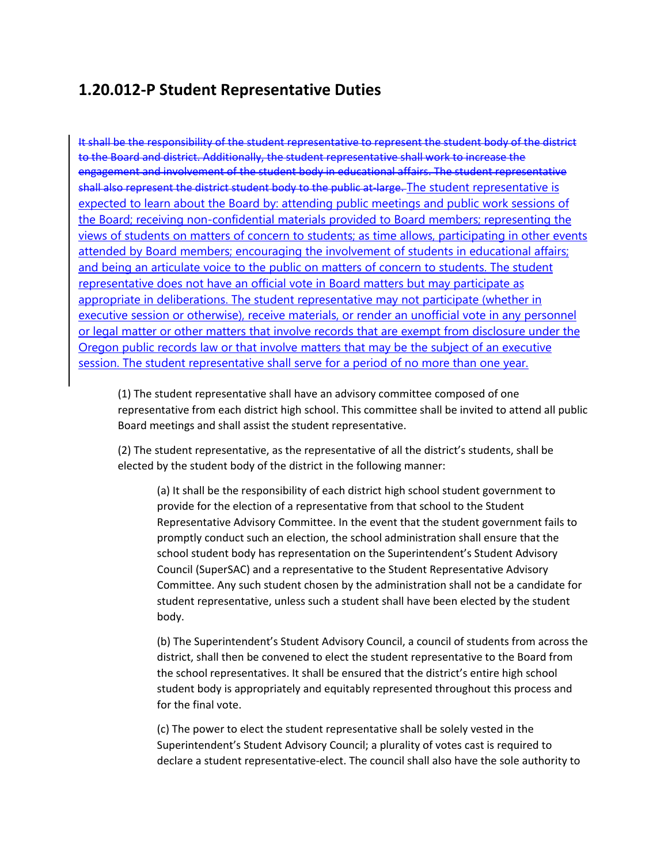## **1.20.012‐P Student Representative Duties**

It shall be the responsibility of the student representative to represent the student body of the district to the Board and district. Additionally, the student representative shall work to increase the engagement and involvement of the student body in educational affairs. The student representative shall also represent the district student body to the public at large. The student representative is expected to learn about the Board by: attending public meetings and public work sessions of the Board; receiving non-confidential materials provided to Board members; representing the views of students on matters of concern to students; as time allows, participating in other events attended by Board members; encouraging the involvement of students in educational affairs; and being an articulate voice to the public on matters of concern to students. The student representative does not have an official vote in Board matters but may participate as appropriate in deliberations. The student representative may not participate (whether in executive session or otherwise), receive materials, or render an unofficial vote in any personnel or legal matter or other matters that involve records that are exempt from disclosure under the Oregon public records law or that involve matters that may be the subject of an executive session. The student representative shall serve for a period of no more than one year.

(1) The student representative shall have an advisory committee composed of one representative from each district high school. This committee shall be invited to attend all public Board meetings and shall assist the student representative.

(2) The student representative, as the representative of all the district's students, shall be elected by the student body of the district in the following manner:

(a) It shall be the responsibility of each district high school student government to provide for the election of a representative from that school to the Student Representative Advisory Committee. In the event that the student government fails to promptly conduct such an election, the school administration shall ensure that the school student body has representation on the Superintendent's Student Advisory Council (SuperSAC) and a representative to the Student Representative Advisory Committee. Any such student chosen by the administration shall not be a candidate for student representative, unless such a student shall have been elected by the student body.

(b) The Superintendent's Student Advisory Council, a council of students from across the district, shall then be convened to elect the student representative to the Board from the school representatives. It shall be ensured that the district's entire high school student body is appropriately and equitably represented throughout this process and for the final vote.

(c) The power to elect the student representative shall be solely vested in the Superintendent's Student Advisory Council; a plurality of votes cast is required to declare a student representative‐elect. The council shall also have the sole authority to